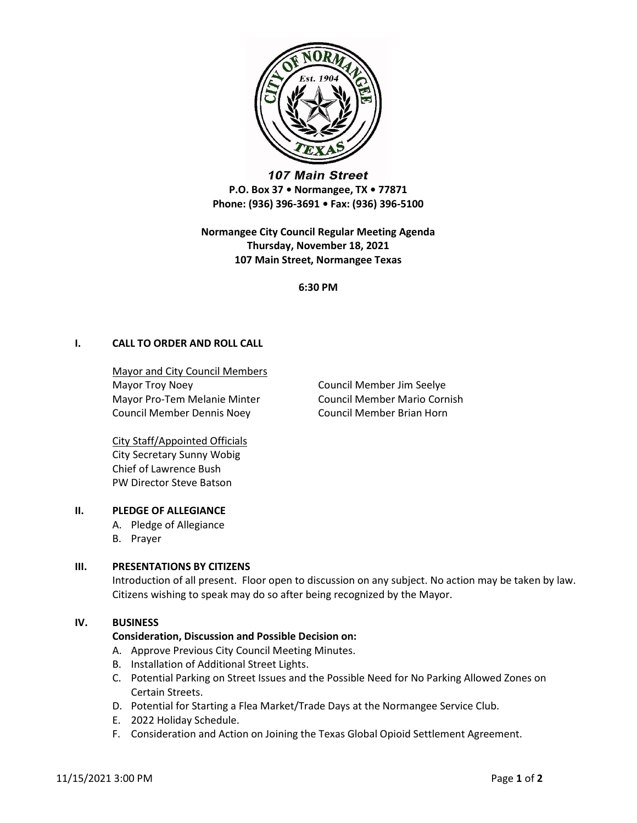

107 Main Street P.O. Box 37 • Normangee, TX • 77871 Phone: (936) 396-3691 • Fax: (936) 396-5100

Normangee City Council Regular Meeting Agenda Thursday, November 18, 2021 107 Main Street, Normangee Texas

6:30 PM

# I. CALL TO ORDER AND ROLL CALL

Mayor and City Council Members Mayor Troy Noey **Council Member Jim Seelye** Mayor Pro-Tem Melanie Minter Council Member Mario Cornish Council Member Dennis Noey Council Member Brian Horn

City Staff/Appointed Officials City Secretary Sunny Wobig Chief of Lawrence Bush PW Director Steve Batson

## II. PLEDGE OF ALLEGIANCE

- A. Pledge of Allegiance
- B. Prayer

## III. PRESENTATIONS BY CITIZENS

Introduction of all present. Floor open to discussion on any subject. No action may be taken by law. Citizens wishing to speak may do so after being recognized by the Mayor.

#### IV. BUSINESS

## Consideration, Discussion and Possible Decision on:

- A. Approve Previous City Council Meeting Minutes.
- B. Installation of Additional Street Lights.
- C. Potential Parking on Street Issues and the Possible Need for No Parking Allowed Zones on Certain Streets.
- D. Potential for Starting a Flea Market/Trade Days at the Normangee Service Club.
- E. 2022 Holiday Schedule.
- F. Consideration and Action on Joining the Texas Global Opioid Settlement Agreement.